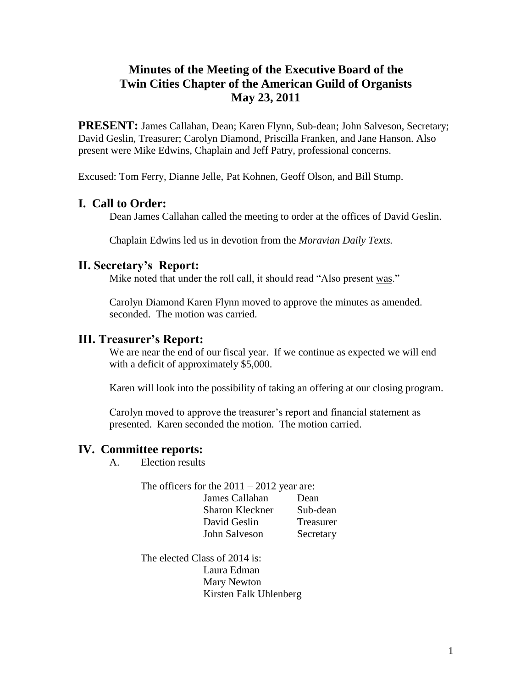## **Minutes of the Meeting of the Executive Board of the Twin Cities Chapter of the American Guild of Organists May 23, 2011**

**PRESENT:** James Callahan, Dean; Karen Flynn, Sub-dean; John Salveson, Secretary; David Geslin, Treasurer; Carolyn Diamond, Priscilla Franken, and Jane Hanson. Also present were Mike Edwins, Chaplain and Jeff Patry, professional concerns.

Excused: Tom Ferry, Dianne Jelle, Pat Kohnen, Geoff Olson, and Bill Stump.

## **I. Call to Order:**

Dean James Callahan called the meeting to order at the offices of David Geslin.

Chaplain Edwins led us in devotion from the *Moravian Daily Texts.*

## **II. Secretary's Report:**

Mike noted that under the roll call, it should read "Also present was."

Carolyn Diamond Karen Flynn moved to approve the minutes as amended. seconded. The motion was carried.

#### **III. Treasurer's Report:**

We are near the end of our fiscal year. If we continue as expected we will end with a deficit of approximately \$5,000.

Karen will look into the possibility of taking an offering at our closing program.

Carolyn moved to approve the treasurer's report and financial statement as presented. Karen seconded the motion. The motion carried.

#### **IV. Committee reports:**

A. Election results

The officers for the  $2011 - 2012$  year are:

| James Callahan         | Dean      |
|------------------------|-----------|
| <b>Sharon Kleckner</b> | Sub-dean  |
| David Geslin           | Treasurer |
| John Salveson          | Secretary |

The elected Class of 2014 is: Laura Edman Mary Newton Kirsten Falk Uhlenberg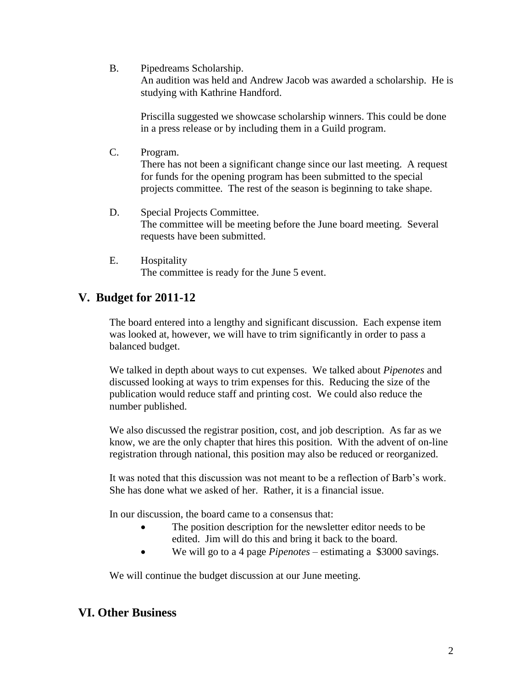B. Pipedreams Scholarship.

An audition was held and Andrew Jacob was awarded a scholarship. He is studying with Kathrine Handford.

Priscilla suggested we showcase scholarship winners. This could be done in a press release or by including them in a Guild program.

C. Program.

There has not been a significant change since our last meeting. A request for funds for the opening program has been submitted to the special projects committee. The rest of the season is beginning to take shape.

- D. Special Projects Committee. The committee will be meeting before the June board meeting. Several requests have been submitted.
- E. Hospitality The committee is ready for the June 5 event.

# **V. Budget for 2011-12**

The board entered into a lengthy and significant discussion. Each expense item was looked at, however, we will have to trim significantly in order to pass a balanced budget.

We talked in depth about ways to cut expenses. We talked about *Pipenotes* and discussed looking at ways to trim expenses for this. Reducing the size of the publication would reduce staff and printing cost. We could also reduce the number published.

We also discussed the registrar position, cost, and job description. As far as we know, we are the only chapter that hires this position. With the advent of on-line registration through national, this position may also be reduced or reorganized.

It was noted that this discussion was not meant to be a reflection of Barb's work. She has done what we asked of her. Rather, it is a financial issue.

In our discussion, the board came to a consensus that:

- The position description for the newsletter editor needs to be edited. Jim will do this and bring it back to the board.
- We will go to a 4 page *Pipenotes* estimating a \$3000 savings.

We will continue the budget discussion at our June meeting.

## **VI. Other Business**